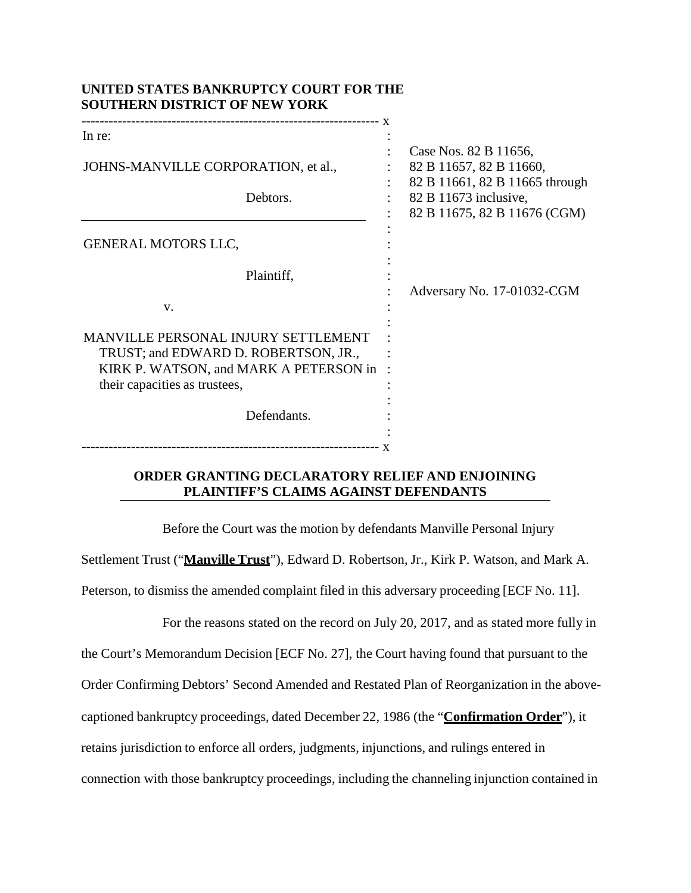| UNITED STATES BANKRUPTUT UOURT FOR THE<br><b>SOUTHERN DISTRICT OF NEW YORK</b>                                                                                |                                                                                    |
|---------------------------------------------------------------------------------------------------------------------------------------------------------------|------------------------------------------------------------------------------------|
| In re:                                                                                                                                                        |                                                                                    |
| JOHNS-MANVILLE CORPORATION, et al.,                                                                                                                           | Case Nos. 82 B 11656,<br>82 B 11657, 82 B 11660,<br>82 B 11661, 82 B 11665 through |
| Debtors.                                                                                                                                                      | 82 B 11673 inclusive,<br>82 B 11675, 82 B 11676 (CGM)                              |
| <b>GENERAL MOTORS LLC,</b>                                                                                                                                    |                                                                                    |
| Plaintiff,                                                                                                                                                    | Adversary No. 17-01032-CGM                                                         |
| V.                                                                                                                                                            |                                                                                    |
| <b>MANVILLE PERSONAL INJURY SETTLEMENT</b><br>TRUST; and EDWARD D. ROBERTSON, JR.,<br>KIRK P. WATSON, and MARK A PETERSON in<br>their capacities as trustees, |                                                                                    |
| Defendants.                                                                                                                                                   |                                                                                    |
|                                                                                                                                                               |                                                                                    |

**UNITED STATES BANKRUPTCY COURT FOR THE** 

## **ORDER GRANTING DECLARATORY RELIEF AND ENJOINING PLAINTIFF'S CLAIMS AGAINST DEFENDANTS**

Before the Court was the motion by defendants Manville Personal Injury Settlement Trust ("**Manville Trust**"), Edward D. Robertson, Jr., Kirk P. Watson, and Mark A. Peterson, to dismiss the amended complaint filed in this adversary proceeding [ECF No. 11].

For the reasons stated on the record on July 20, 2017, and as stated more fully in the Court's Memorandum Decision [ECF No. 27], the Court having found that pursuant to the Order Confirming Debtors' Second Amended and Restated Plan of Reorganization in the abovecaptioned bankruptcy proceedings, dated December 22, 1986 (the "**Confirmation Order**"), it retains jurisdiction to enforce all orders, judgments, injunctions, and rulings entered in connection with those bankruptcy proceedings, including the channeling injunction contained in